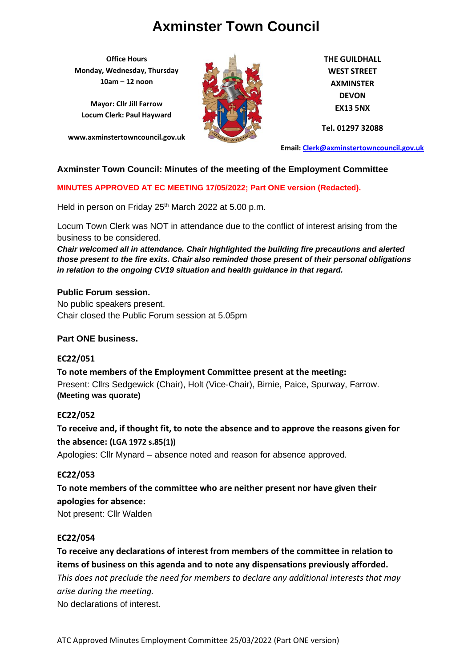**Office Hours Monday, Wednesday, Thursday 10am – 12 noon**

**Mayor: Cllr Jill Farrow Locum Clerk: Paul Hayward**

**www.axminstertowncouncil.gov.uk**



**THE GUILDHALL WEST STREET AXMINSTER DEVON EX13 5NX**

**Tel. 01297 32088**

**Email: [Clerk@axminstertowncouncil.gov.uk](file://///axm-svr-1/company/Templates/Clerk@axminstertowncouncil.gov.uk)**

### **Axminster Town Council: Minutes of the meeting of the Employment Committee**

**MINUTES APPROVED AT EC MEETING 17/05/2022; Part ONE version (Redacted).**

Held in person on Friday 25<sup>th</sup> March 2022 at 5.00 p.m.

Locum Town Clerk was NOT in attendance due to the conflict of interest arising from the business to be considered.

*Chair welcomed all in attendance. Chair highlighted the building fire precautions and alerted those present to the fire exits. Chair also reminded those present of their personal obligations in relation to the ongoing CV19 situation and health guidance in that regard.*

#### **Public Forum session.**

No public speakers present. Chair closed the Public Forum session at 5.05pm

#### **Part ONE business.**

#### **EC22/051**

**To note members of the Employment Committee present at the meeting:** Present: Cllrs Sedgewick (Chair), Holt (Vice-Chair), Birnie, Paice, Spurway, Farrow. **(Meeting was quorate)**

#### **EC22/052**

**To receive and, if thought fit, to note the absence and to approve the reasons given for the absence: (LGA 1972 s.85(1))**

Apologies: Cllr Mynard – absence noted and reason for absence approved.

#### **EC22/053**

**To note members of the committee who are neither present nor have given their apologies for absence:** Not present: Cllr Walden

#### **EC22/054**

**To receive any declarations of interest from members of the committee in relation to items of business on this agenda and to note any dispensations previously afforded.**  *This does not preclude the need for members to declare any additional interests that may arise during the meeting.* No declarations of interest.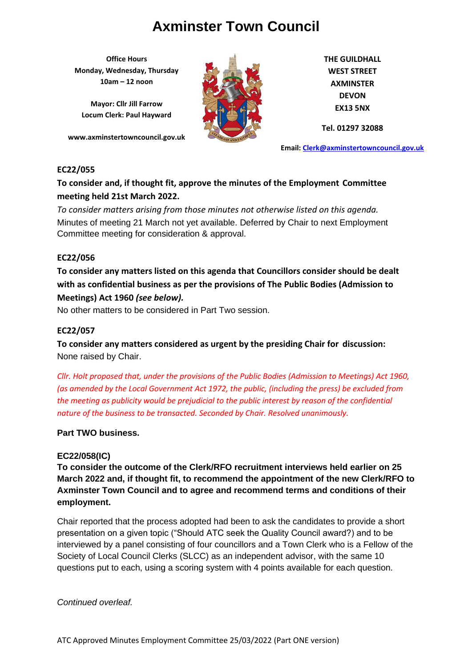**Office Hours Monday, Wednesday, Thursday 10am – 12 noon**

**Mayor: Cllr Jill Farrow Locum Clerk: Paul Hayward**

**www.axminstertowncouncil.gov.uk**



**THE GUILDHALL WEST STREET AXMINSTER DEVON EX13 5NX**

**Tel. 01297 32088**

**Email: [Clerk@axminstertowncouncil.gov.uk](file://///axm-svr-1/company/Templates/Clerk@axminstertowncouncil.gov.uk)**

#### **EC22/055**

### **To consider and, if thought fit, approve the minutes of the Employment Committee meeting held 21st March 2022.**

Minutes of meeting 21 March not yet available. Deferred by Chair to next Employment *To consider matters arising from those minutes not otherwise listed on this agenda.* Committee meeting for consideration & approval.

#### **EC22/056**

**To consider any matters listed on this agenda that Councillors consider should be dealt with as confidential business as per the provisions of The Public Bodies (Admission to Meetings) Act 1960** *(see below).*

No other matters to be considered in Part Two session.

#### **EC22/057**

**To consider any matters considered as urgent by the presiding Chair for discussion:** None raised by Chair.

*Cllr. Holt proposed that, under the provisions of the Public Bodies (Admission to Meetings) Act 1960, (as amended by the Local Government Act 1972, the public, (including the press) be excluded from the meeting as publicity would be prejudicial to the public interest by reason of the confidential nature of the business to be transacted. Seconded by Chair. Resolved unanimously.*

### **Part TWO business.**

### **EC22/058(IC)**

**To consider the outcome of the Clerk/RFO recruitment interviews held earlier on 25 March 2022 and, if thought fit, to recommend the appointment of the new Clerk/RFO to Axminster Town Council and to agree and recommend terms and conditions of their employment.**

Chair reported that the process adopted had been to ask the candidates to provide a short presentation on a given topic ("Should ATC seek the Quality Council award?) and to be interviewed by a panel consisting of four councillors and a Town Clerk who is a Fellow of the Society of Local Council Clerks (SLCC) as an independent advisor, with the same 10 questions put to each, using a scoring system with 4 points available for each question.

#### *Continued overleaf.*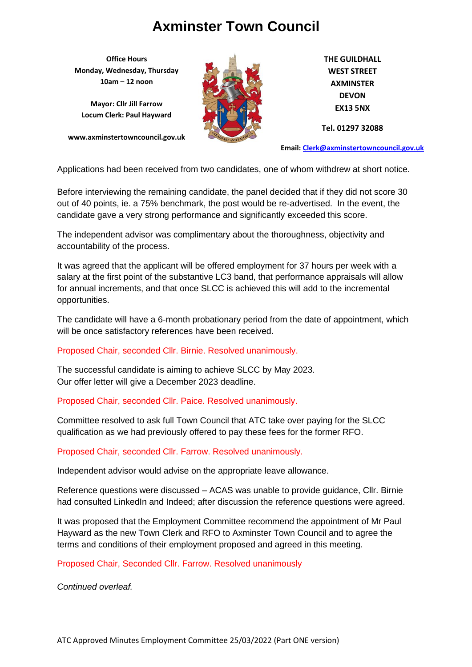**Office Hours Monday, Wednesday, Thursday 10am – 12 noon**

**Mayor: Cllr Jill Farrow Locum Clerk: Paul Hayward**

**www.axminstertowncouncil.gov.uk**



**THE GUILDHALL WEST STREET AXMINSTER DEVON EX13 5NX**

**Tel. 01297 32088**

**Email: [Clerk@axminstertowncouncil.gov.uk](file://///axm-svr-1/company/Templates/Clerk@axminstertowncouncil.gov.uk)**

Applications had been received from two candidates, one of whom withdrew at short notice.

**TEL: 01297 32088** candidate gave a very strong performance and significantly exceeded this score. Before interviewing the remaining candidate, the panel decided that if they did not score 30 out of 40 points, ie. a 75% benchmark, the post would be re-advertised. In the event, the

The independent advisor was complimentary about the thoroughness, objectivity and accountability of the process.

It was agreed that the applicant will be offered employment for 37 hours per week with a salary at the first point of the substantive LC3 band, that performance appraisals will allow for annual increments, and that once SLCC is achieved this will add to the incremental opportunities.

The candidate will have a 6-month probationary period from the date of appointment, which will be once satisfactory references have been received.

Proposed Chair, seconded Cllr. Birnie. Resolved unanimously.

The successful candidate is aiming to achieve SLCC by May 2023. Our offer letter will give a December 2023 deadline.

Proposed Chair, seconded Cllr. Paice. Resolved unanimously.

Committee resolved to ask full Town Council that ATC take over paying for the SLCC qualification as we had previously offered to pay these fees for the former RFO.

Proposed Chair, seconded Cllr. Farrow. Resolved unanimously.

Independent advisor would advise on the appropriate leave allowance.

Reference questions were discussed – ACAS was unable to provide guidance, Cllr. Birnie had consulted LinkedIn and Indeed; after discussion the reference questions were agreed.

It was proposed that the Employment Committee recommend the appointment of Mr Paul Hayward as the new Town Clerk and RFO to Axminster Town Council and to agree the terms and conditions of their employment proposed and agreed in this meeting.

Proposed Chair, Seconded Cllr. Farrow. Resolved unanimously

*Continued overleaf.*